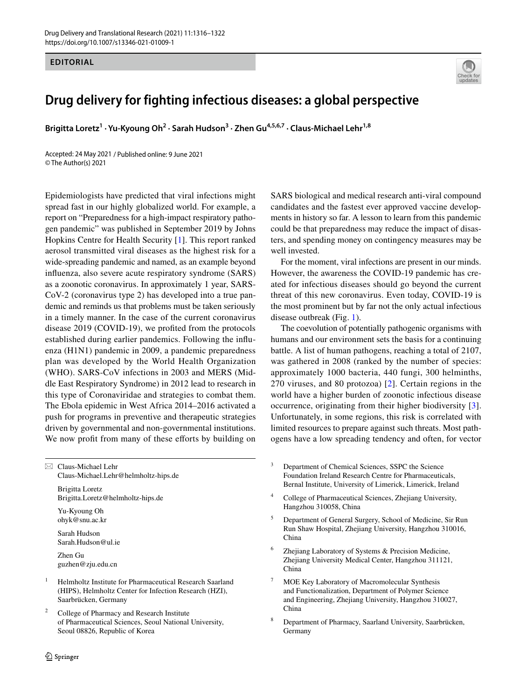## **EDITORIAL**



## **Drug delivery for fighting infectious diseases: a global perspective**

Brigitta Loretz<sup>1</sup> · Yu-Kyoung Oh<sup>2</sup> · Sarah Hudson<sup>3</sup> · Zhen Gu<sup>4,5,6,7</sup> · Claus-Michael Lehr<sup>1,8</sup>

Accepted: 24 May 2021 / Published online: 9 June 2021 © The Author(s) 2021

Epidemiologists have predicted that viral infections might spread fast in our highly globalized world. For example, a report on "Preparedness for a high-impact respiratory pathogen pandemic" was published in September 2019 by Johns Hopkins Centre for Health Security [[1\]](#page-5-0). This report ranked aerosol transmitted viral diseases as the highest risk for a wide-spreading pandemic and named, as an example beyond infuenza, also severe acute respiratory syndrome (SARS) as a zoonotic coronavirus. In approximately 1 year, SARS-CoV-2 (coronavirus type 2) has developed into a true pandemic and reminds us that problems must be taken seriously in a timely manner. In the case of the current coronavirus disease 2019 (COVID-19), we profted from the protocols established during earlier pandemics. Following the infuenza (H1N1) pandemic in 2009, a pandemic preparedness plan was developed by the World Health Organization (WHO). SARS-CoV infections in 2003 and MERS (Middle East Respiratory Syndrome) in 2012 lead to research in this type of Coronaviridae and strategies to combat them. The Ebola epidemic in West Africa 2014–2016 activated a push for programs in preventive and therapeutic strategies driven by governmental and non-governmental institutions. We now profit from many of these efforts by building on

 $\boxtimes$  Claus-Michael Lehr Claus-Michael.Lehr@helmholtz-hips.de

> Brigitta Loretz Brigitta.Loretz@helmholtz-hips.de

Yu-Kyoung Oh ohyk@snu.ac.kr

Sarah Hudson Sarah.Hudson@ul.ie Zhen Gu

guzhen@zju.edu.cn

- <sup>1</sup> Helmholtz Institute for Pharmaceutical Research Saarland (HIPS), Helmholtz Center for Infection Research (HZI), Saarbrücken, Germany
- <sup>2</sup> College of Pharmacy and Research Institute of Pharmaceutical Sciences, Seoul National University, Seoul 08826, Republic of Korea

SARS biological and medical research anti-viral compound candidates and the fastest ever approved vaccine developments in history so far. A lesson to learn from this pandemic could be that preparedness may reduce the impact of disasters, and spending money on contingency measures may be well invested.

For the moment, viral infections are present in our minds. However, the awareness the COVID-19 pandemic has created for infectious diseases should go beyond the current threat of this new coronavirus. Even today, COVID-19 is the most prominent but by far not the only actual infectious disease outbreak (Fig. [1](#page-1-0)).

The coevolution of potentially pathogenic organisms with humans and our environment sets the basis for a continuing battle. A list of human pathogens, reaching a total of 2107, was gathered in 2008 (ranked by the number of species: approximately 1000 bacteria, 440 fungi, 300 helminths, 270 viruses, and 80 protozoa) [\[2](#page-5-1)]. Certain regions in the world have a higher burden of zoonotic infectious disease occurrence, originating from their higher biodiversity [\[3](#page-5-2)]. Unfortunately, in some regions, this risk is correlated with limited resources to prepare against such threats. Most pathogens have a low spreading tendency and often, for vector

- <sup>3</sup> Department of Chemical Sciences, SSPC the Science Foundation Ireland Research Centre for Pharmaceuticals, Bernal Institute, University of Limerick, Limerick, Ireland
- <sup>4</sup> College of Pharmaceutical Sciences, Zhejiang University, Hangzhou 310058, China
- <sup>5</sup> Department of General Surgery, School of Medicine, Sir Run Run Shaw Hospital, Zhejiang University, Hangzhou 310016, China
- Zhejiang Laboratory of Systems & Precision Medicine, Zhejiang University Medical Center, Hangzhou 311121, China
- MOE Key Laboratory of Macromolecular Synthesis and Functionalization, Department of Polymer Science and Engineering, Zhejiang University, Hangzhou 310027, China
- <sup>8</sup> Department of Pharmacy, Saarland University, Saarbrücken, Germany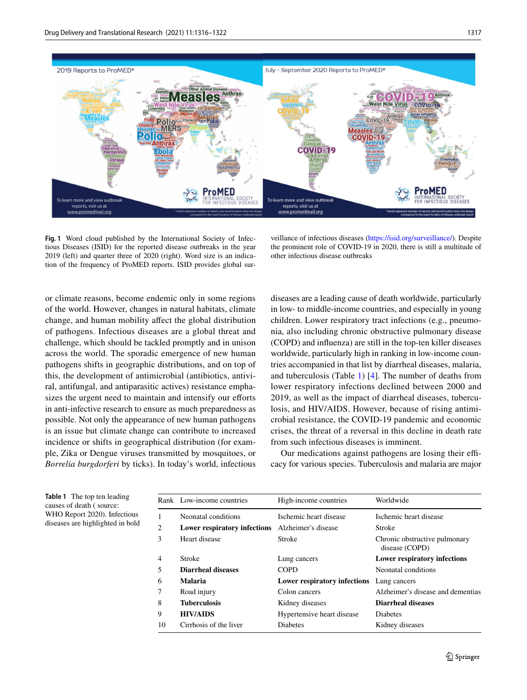

<span id="page-1-0"></span>**Fig. 1** Word cloud published by the International Society of Infectious Diseases (ISID) for the reported disease outbreaks in the year 2019 (left) and quarter three of 2020 (right). Word size is an indication of the frequency of ProMED reports. ISID provides global sur-

veillance of infectious diseases [\(https://isid.org/surveillance/](https://isid.org/surveillance/)). Despite the prominent role of COVID-19 in 2020, there is still a multitude of other infectious disease outbreaks

or climate reasons, become endemic only in some regions of the world. However, changes in natural habitats, climate change, and human mobility afect the global distribution of pathogens. Infectious diseases are a global threat and challenge, which should be tackled promptly and in unison across the world. The sporadic emergence of new human pathogens shifts in geographic distributions, and on top of this, the development of antimicrobial (antibiotics, antiviral, antifungal, and antiparasitic actives) resistance emphasizes the urgent need to maintain and intensify our efforts in anti-infective research to ensure as much preparedness as possible. Not only the appearance of new human pathogens is an issue but climate change can contribute to increased incidence or shifts in geographical distribution (for example, Zika or Dengue viruses transmitted by mosquitoes, or *Borrelia burgdorferi* by ticks). In today's world, infectious diseases are a leading cause of death worldwide, particularly in low- to middle-income countries, and especially in young children. Lower respiratory tract infections (e.g., pneumonia, also including chronic obstructive pulmonary disease (COPD) and infuenza) are still in the top-ten killer diseases worldwide, particularly high in ranking in low-income countries accompanied in that list by diarrheal diseases, malaria, and tuberculosis (Table [1](#page-1-1)) [[4\]](#page-5-3). The number of deaths from lower respiratory infections declined between 2000 and 2019, as well as the impact of diarrheal diseases, tuberculosis, and HIV/AIDS. However, because of rising antimicrobial resistance, the COVID-19 pandemic and economic crises, the threat of a reversal in this decline in death rate from such infectious diseases is imminent.

Our medications against pathogens are losing their efficacy for various species. Tuberculosis and malaria are major

<span id="page-1-1"></span>**Table 1** The top ten leading causes of death ( source: WHO Report 2020). Infectious diseases are highlighted in bold

|                | Rank Low-income countries    | High-income countries               | Worldwide                                       |
|----------------|------------------------------|-------------------------------------|-------------------------------------------------|
|                | Neonatal conditions          | Ischemic heart disease              | Ischemic heart disease                          |
| 2              | Lower respiratory infections | Alzheimer's disease                 | <b>Stroke</b>                                   |
| 3              | Heart disease                | <b>Stroke</b>                       | Chronic obstructive pulmonary<br>disease (COPD) |
| $\overline{4}$ | <b>Stroke</b>                | Lung cancers                        | <b>Lower respiratory infections</b>             |
| 5              | Diarrheal diseases           | <b>COPD</b>                         | Neonatal conditions                             |
| 6              | Malaria                      | <b>Lower respiratory infections</b> | Lung cancers                                    |
|                | Road injury                  | Colon cancers                       | Alzheimer's disease and dementias               |
| 8              | <b>Tuberculosis</b>          | Kidney diseases                     | <b>Diarrheal diseases</b>                       |
| 9              | <b>HIV/AIDS</b>              | Hypertensive heart disease          | <b>Diabetes</b>                                 |
| 10             | Cirrhosis of the liver       | <b>Diabetes</b>                     | Kidney diseases                                 |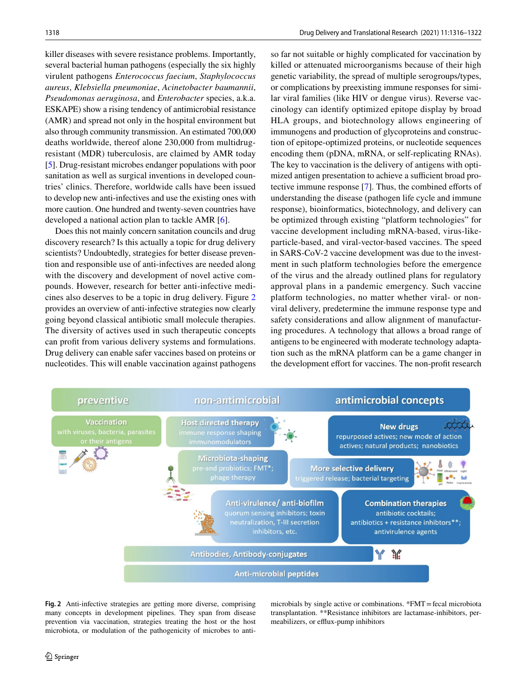killer diseases with severe resistance problems. Importantly, several bacterial human pathogens (especially the six highly virulent pathogens *Enterococcus faecium*, *Staphylococcus aureus*, *Klebsiella pneumoniae*, *Acinetobacter baumannii*, *Pseudomonas aeruginosa*, and *Enterobacter* species, a.k.a. ESKAPE) show a rising tendency of antimicrobial resistance (AMR) and spread not only in the hospital environment but also through community transmission. An estimated 700,000 deaths worldwide, thereof alone 230,000 from multidrugresistant (MDR) tuberculosis, are claimed by AMR today [\[5](#page-5-4)]. Drug-resistant microbes endanger populations with poor sanitation as well as surgical inventions in developed countries' clinics. Therefore, worldwide calls have been issued to develop new anti-infectives and use the existing ones with more caution. One hundred and twenty-seven countries have developed a national action plan to tackle AMR [\[6](#page-5-5)].

Does this not mainly concern sanitation councils and drug discovery research? Is this actually a topic for drug delivery scientists? Undoubtedly, strategies for better disease prevention and responsible use of anti-infectives are needed along with the discovery and development of novel active compounds. However, research for better anti-infective medicines also deserves to be a topic in drug delivery. Figure [2](#page-2-0) provides an overview of anti-infective strategies now clearly going beyond classical antibiotic small molecule therapies. The diversity of actives used in such therapeutic concepts can proft from various delivery systems and formulations. Drug delivery can enable safer vaccines based on proteins or nucleotides. This will enable vaccination against pathogens so far not suitable or highly complicated for vaccination by killed or attenuated microorganisms because of their high genetic variability, the spread of multiple serogroups/types, or complications by preexisting immune responses for similar viral families (like HIV or dengue virus). Reverse vaccinology can identify optimized epitope display by broad HLA groups, and biotechnology allows engineering of immunogens and production of glycoproteins and construction of epitope-optimized proteins, or nucleotide sequences encoding them (pDNA, mRNA, or self-replicating RNAs). The key to vaccination is the delivery of antigens with optimized antigen presentation to achieve a sufficient broad protective immune response [[7\]](#page-5-6). Thus, the combined eforts of understanding the disease (pathogen life cycle and immune response), bioinformatics, biotechnology, and delivery can be optimized through existing "platform technologies" for vaccine development including mRNA-based, virus-likeparticle-based, and viral-vector-based vaccines. The speed in SARS-CoV-2 vaccine development was due to the investment in such platform technologies before the emergence of the virus and the already outlined plans for regulatory approval plans in a pandemic emergency. Such vaccine platform technologies, no matter whether viral- or nonviral delivery, predetermine the immune response type and safety considerations and allow alignment of manufacturing procedures. A technology that allows a broad range of antigens to be engineered with moderate technology adaptation such as the mRNA platform can be a game changer in the development effort for vaccines. The non-profit research



<span id="page-2-0"></span>**Fig. 2** Anti-infective strategies are getting more diverse, comprising many concepts in development pipelines. They span from disease prevention via vaccination, strategies treating the host or the host microbiota, or modulation of the pathogenicity of microbes to antimicrobials by single active or combinations. \*FMT=fecal microbiota transplantation. \*\*Resistance inhibitors are lactamase-inhibitors, permeabilizers, or efflux-pump inhibitors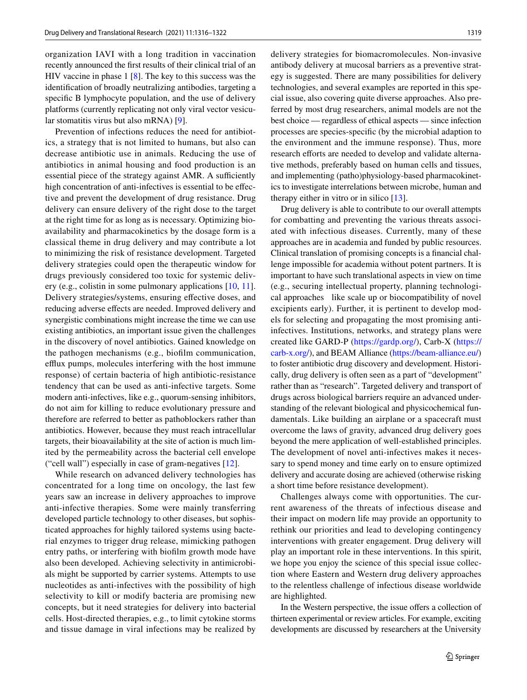organization IAVI with a long tradition in vaccination recently announced the frst results of their clinical trial of an HIV vaccine in phase 1 [[8\]](#page-5-7). The key to this success was the identifcation of broadly neutralizing antibodies, targeting a specifc B lymphocyte population, and the use of delivery platforms (currently replicating not only viral vector vesicular stomatitis virus but also mRNA) [[9](#page-5-8)].

Prevention of infections reduces the need for antibiotics, a strategy that is not limited to humans, but also can decrease antibiotic use in animals. Reducing the use of antibiotics in animal housing and food production is an essential piece of the strategy against AMR. A sufficiently high concentration of anti-infectives is essential to be efective and prevent the development of drug resistance. Drug delivery can ensure delivery of the right dose to the target at the right time for as long as is necessary. Optimizing bioavailability and pharmacokinetics by the dosage form is a classical theme in drug delivery and may contribute a lot to minimizing the risk of resistance development. Targeted delivery strategies could open the therapeutic window for drugs previously considered too toxic for systemic delivery (e.g., colistin in some pulmonary applications [[10](#page-5-9), [11](#page-5-10)]. Delivery strategies/systems, ensuring efective doses, and reducing adverse efects are needed. Improved delivery and synergistic combinations might increase the time we can use existing antibiotics, an important issue given the challenges in the discovery of novel antibiotics. Gained knowledge on the pathogen mechanisms (e.g., bioflm communication, efflux pumps, molecules interfering with the host immune response) of certain bacteria of high antibiotic-resistance tendency that can be used as anti-infective targets. Some modern anti-infectives, like e.g., quorum-sensing inhibitors, do not aim for killing to reduce evolutionary pressure and therefore are referred to better as pathoblockers rather than antibiotics. However, because they must reach intracellular targets, their bioavailability at the site of action is much limited by the permeability across the bacterial cell envelope ("cell wall") especially in case of gram-negatives [[12](#page-5-11)].

While research on advanced delivery technologies has concentrated for a long time on oncology, the last few years saw an increase in delivery approaches to improve anti-infective therapies. Some were mainly transferring developed particle technology to other diseases, but sophisticated approaches for highly tailored systems using bacterial enzymes to trigger drug release, mimicking pathogen entry paths, or interfering with bioflm growth mode have also been developed. Achieving selectivity in antimicrobials might be supported by carrier systems. Attempts to use nucleotides as anti-infectives with the possibility of high selectivity to kill or modify bacteria are promising new concepts, but it need strategies for delivery into bacterial cells. Host-directed therapies, e.g., to limit cytokine storms and tissue damage in viral infections may be realized by delivery strategies for biomacromolecules. Non-invasive antibody delivery at mucosal barriers as a preventive strategy is suggested. There are many possibilities for delivery technologies, and several examples are reported in this special issue, also covering quite diverse approaches. Also preferred by most drug researchers, animal models are not the best choice — regardless of ethical aspects — since infection processes are species-specifc (by the microbial adaption to the environment and the immune response). Thus, more research efforts are needed to develop and validate alternative methods, preferably based on human cells and tissues, and implementing (patho)physiology-based pharmacokinetics to investigate interrelations between microbe, human and therapy either in vitro or in silico [\[13](#page-5-12)].

Drug delivery is able to contribute to our overall attempts for combatting and preventing the various threats associated with infectious diseases. Currently, many of these approaches are in academia and funded by public resources. Clinical translation of promising concepts is a fnancial challenge impossible for academia without potent partners. It is important to have such translational aspects in view on time (e.g., securing intellectual property, planning technological approaches like scale up or biocompatibility of novel excipients early). Further, it is pertinent to develop models for selecting and propagating the most promising antiinfectives. Institutions, networks, and strategy plans were created like GARD-P [\(https://gardp.org/](https://gardp.org/)), Carb-X [\(https://](https://carb-x.org/) [carb-x.org/\)](https://carb-x.org/), and BEAM Alliance ([https://beam-alliance.eu/\)](https://beam-alliance.eu/) to foster antibiotic drug discovery and development. Historically, drug delivery is often seen as a part of "development" rather than as "research". Targeted delivery and transport of drugs across biological barriers require an advanced understanding of the relevant biological and physicochemical fundamentals. Like building an airplane or a spacecraft must overcome the laws of gravity, advanced drug delivery goes beyond the mere application of well-established principles. The development of novel anti-infectives makes it necessary to spend money and time early on to ensure optimized delivery and accurate dosing are achieved (otherwise risking a short time before resistance development).

Challenges always come with opportunities. The current awareness of the threats of infectious disease and their impact on modern life may provide an opportunity to rethink our priorities and lead to developing contingency interventions with greater engagement. Drug delivery will play an important role in these interventions. In this spirit, we hope you enjoy the science of this special issue collection where Eastern and Western drug delivery approaches to the relentless challenge of infectious disease worldwide are highlighted.

In the Western perspective, the issue offers a collection of thirteen experimental or review articles. For example, exciting developments are discussed by researchers at the University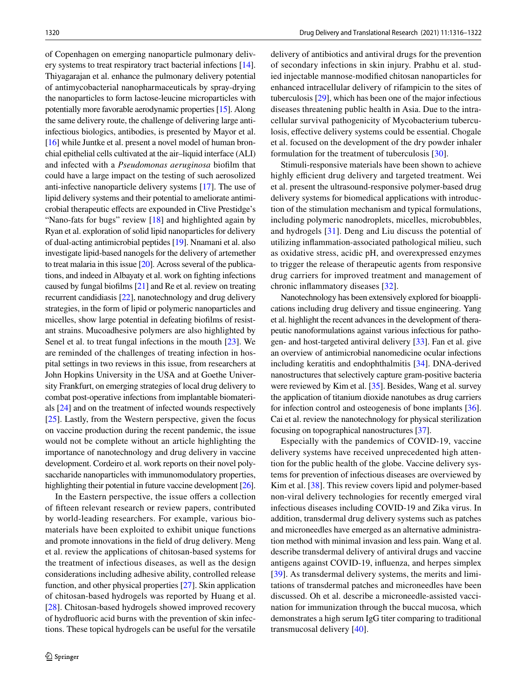of Copenhagen on emerging nanoparticle pulmonary delivery systems to treat respiratory tract bacterial infections [[14](#page-5-13)]. Thiyagarajan et al. enhance the pulmonary delivery potential of antimycobacterial nanopharmaceuticals by spray-drying the nanoparticles to form lactose-leucine microparticles with potentially more favorable aerodynamic properties [[15](#page-5-14)]. Along the same delivery route, the challenge of delivering large antiinfectious biologics, antibodies, is presented by Mayor et al. [\[16](#page-5-15)] while Juntke et al. present a novel model of human bronchial epithelial cells cultivated at the air–liquid interface (ALI) and infected with a *Pseudomonas aeruginosa* bioflm that could have a large impact on the testing of such aerosolized anti-infective nanoparticle delivery systems [[17\]](#page-5-16). The use of lipid delivery systems and their potential to ameliorate antimicrobial therapeutic efects are expounded in Clive Prestidge's "Nano-fats for bugs" review [[18\]](#page-5-17) and highlighted again by Ryan et al. exploration of solid lipid nanoparticles for delivery of dual-acting antimicrobial peptides [[19\]](#page-6-0). Nnamani et al. also investigate lipid-based nanogels for the delivery of artemether to treat malaria in this issue [[20](#page-6-1)]. Across several of the publications, and indeed in Albayaty et al. work on fghting infections caused by fungal bioflms [\[21\]](#page-6-2) and Re et al. review on treating recurrent candidiasis [[22\]](#page-6-3), nanotechnology and drug delivery strategies, in the form of lipid or polymeric nanoparticles and micelles, show large potential in defeating bioflms of resistant strains. Mucoadhesive polymers are also highlighted by Senel et al. to treat fungal infections in the mouth [\[23](#page-6-4)]. We are reminded of the challenges of treating infection in hospital settings in two reviews in this issue, from researchers at John Hopkins University in the USA and at Goethe University Frankfurt, on emerging strategies of local drug delivery to combat post-operative infections from implantable biomaterials [[24](#page-6-5)] and on the treatment of infected wounds respectively [\[25](#page-6-6)]. Lastly, from the Western perspective, given the focus on vaccine production during the recent pandemic, the issue would not be complete without an article highlighting the importance of nanotechnology and drug delivery in vaccine development. Cordeiro et al. work reports on their novel polysaccharide nanoparticles with immunomodulatory properties, highlighting their potential in future vaccine development [\[26](#page-6-7)].

In the Eastern perspective, the issue offers a collection of ffteen relevant research or review papers, contributed by world-leading researchers. For example, various biomaterials have been exploited to exhibit unique functions and promote innovations in the feld of drug delivery. Meng et al. review the applications of chitosan-based systems for the treatment of infectious diseases, as well as the design considerations including adhesive ability, controlled release function, and other physical properties [\[27](#page-6-8)]. Skin application of chitosan-based hydrogels was reported by Huang et al. [\[28\]](#page-6-9). Chitosan-based hydrogels showed improved recovery of hydrofuoric acid burns with the prevention of skin infections. These topical hydrogels can be useful for the versatile

delivery of antibiotics and antiviral drugs for the prevention of secondary infections in skin injury. Prabhu et al. studied injectable mannose-modifed chitosan nanoparticles for enhanced intracellular delivery of rifampicin to the sites of tuberculosis [\[29](#page-6-10)], which has been one of the major infectious diseases threatening public health in Asia. Due to the intracellular survival pathogenicity of Mycobacterium tuberculosis, efective delivery systems could be essential. Chogale et al. focused on the development of the dry powder inhaler formulation for the treatment of tuberculosis [\[30](#page-6-11)].

Stimuli-responsive materials have been shown to achieve highly efficient drug delivery and targeted treatment. Wei et al. present the ultrasound-responsive polymer-based drug delivery systems for biomedical applications with introduction of the stimulation mechanism and typical formulations, including polymeric nanodroplets, micelles, microbubbles, and hydrogels [[31](#page-6-12)]. Deng and Liu discuss the potential of utilizing infammation-associated pathological milieu, such as oxidative stress, acidic pH, and overexpressed enzymes to trigger the release of therapeutic agents from responsive drug carriers for improved treatment and management of chronic infammatory diseases [[32\]](#page-6-13).

Nanotechnology has been extensively explored for bioapplications including drug delivery and tissue engineering. Yang et al. highlight the recent advances in the development of therapeutic nanoformulations against various infectious for pathogen- and host-targeted antiviral delivery [\[33\]](#page-6-14). Fan et al. give an overview of antimicrobial nanomedicine ocular infections including keratitis and endophthalmitis [[34\]](#page-6-15). DNA-derived nanostructures that selectively capture gram-positive bacteria were reviewed by Kim et al. [\[35\]](#page-6-16). Besides, Wang et al. survey the application of titanium dioxide nanotubes as drug carriers for infection control and osteogenesis of bone implants [[36\]](#page-6-17). Cai et al. review the nanotechnology for physical sterilization focusing on topographical nanostructures [\[37](#page-6-18)].

Especially with the pandemics of COVID-19, vaccine delivery systems have received unprecedented high attention for the public health of the globe. Vaccine delivery systems for prevention of infectious diseases are overviewed by Kim et al. [\[38](#page-6-19)]. This review covers lipid and polymer-based non-viral delivery technologies for recently emerged viral infectious diseases including COVID-19 and Zika virus. In addition, transdermal drug delivery systems such as patches and microneedles have emerged as an alternative administration method with minimal invasion and less pain. Wang et al. describe transdermal delivery of antiviral drugs and vaccine antigens against COVID-19, infuenza, and herpes simplex [[39\]](#page-6-20). As transdermal delivery systems, the merits and limitations of transdermal patches and microneedles have been discussed. Oh et al. describe a microneedle-assisted vaccination for immunization through the buccal mucosa, which demonstrates a high serum IgG titer comparing to traditional transmucosal delivery [[40\]](#page-6-21).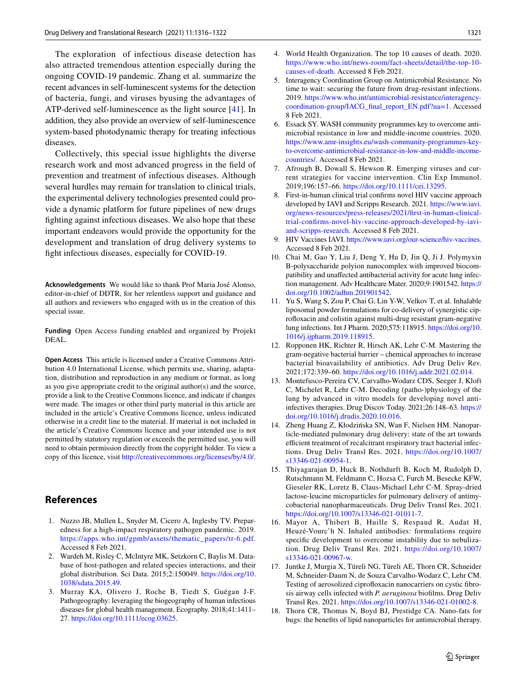The exploration of infectious disease detection has also attracted tremendous attention especially during the ongoing COVID-19 pandemic. Zhang et al. summarize the recent advances in self-luminescent systems for the detection of bacteria, fungi, and viruses byusing the advantages of ATP-derived self-luminescence as the light source [[41](#page-6-22)]. In addition, they also provide an overview of self-luminescence system-based photodynamic therapy for treating infectious diseases.

Collectively, this special issue highlights the diverse research work and most advanced progress in the feld of prevention and treatment of infectious diseases. Although several hurdles may remain for translation to clinical trials, the experimental delivery technologies presented could provide a dynamic platform for future pipelines of new drugs fghting against infectious diseases. We also hope that these important endeavors would provide the opportunity for the development and translation of drug delivery systems to fght infectious diseases, especially for COVID-19.

**Acknowledgements** We would like to thank Prof Maria José Alonso, editor-in-chief of DDTR, for her relentless support and guidance and all authors and reviewers who engaged with us in the creation of this special issue.

**Funding** Open Access funding enabled and organized by Projekt DEAL.

**Open Access** This article is licensed under a Creative Commons Attribution 4.0 International License, which permits use, sharing, adaptation, distribution and reproduction in any medium or format, as long as you give appropriate credit to the original author(s) and the source, provide a link to the Creative Commons licence, and indicate if changes were made. The images or other third party material in this article are included in the article's Creative Commons licence, unless indicated otherwise in a credit line to the material. If material is not included in the article's Creative Commons licence and your intended use is not permitted by statutory regulation or exceeds the permitted use, you will need to obtain permission directly from the copyright holder. To view a copy of this licence, visit <http://creativecommons.org/licenses/by/4.0/>.

## **References**

- <span id="page-5-0"></span>1. Nuzzo JB, Mullen L, Snyder M, Cicero A, Inglesby TV. Preparedness for a high-impact respiratory pathogen pandemic. 2019. [https://apps.who.int/gpmb/assets/thematic\\_papers/tr-6.pdf](https://apps.who.int/gpmb/assets/thematic_papers/tr-6.pdf). Accessed 8 Feb 2021.
- <span id="page-5-1"></span>2. Wardeh M, Risley C, McIntyre MK, Setzkorn C, Baylis M. Database of host-pathogen and related species interactions, and their global distribution. Sci Data. 2015;2:150049. [https://doi.org/10.](https://doi.org/10.1038/sdata.2015.49) [1038/sdata.2015.49](https://doi.org/10.1038/sdata.2015.49).
- <span id="page-5-2"></span>3. Murray KA, Olivero J, Roche B, Tiedt S, Guégan J-F. Pathogeography: leveraging the biogeography of human infectious diseases for global health management. Ecography. 2018;41:1411– 27. [https://doi.org/10.1111/ecog.03625.](https://doi.org/10.1111/ecog.03625)
- <span id="page-5-3"></span>4. World Health Organization. The top 10 causes of death. 2020. [https://www.who.int/news-room/fact-sheets/detail/the-top-10](https://www.who.int/news-room/fact-sheets/detail/the-top-10-causes-of-death) [causes-of-death](https://www.who.int/news-room/fact-sheets/detail/the-top-10-causes-of-death). Accessed 8 Feb 2021.
- <span id="page-5-4"></span>5. Interagency Coordination Group on Antimicrobial Resistance. No time to wait: securing the future from drug-resistant infections. 2019. [https://www.who.int/antimicrobial-resistance/interagency](https://www.who.int/antimicrobial-resistance/interagency-coordination-group/IACG_final_report_EN.pdf?ua=1)[coordination-group/IACG\\_fnal\\_report\\_EN.pdf?ua=1.](https://www.who.int/antimicrobial-resistance/interagency-coordination-group/IACG_final_report_EN.pdf?ua=1) Accessed 8 Feb 2021.
- <span id="page-5-5"></span>6. Essack SY. WASH community programmes key to overcome antimicrobial resistance in low and middle-income countries. 2020. [https://www.amr-insights.eu/wash-community-programmes-key](https://www.amr-insights.eu/wash-community-programmes-key-to-overcome-antimicrobial-resistance-in-low-and-middle-income-countries/)[to-overcome-antimicrobial-resistance-in-low-and-middle-income](https://www.amr-insights.eu/wash-community-programmes-key-to-overcome-antimicrobial-resistance-in-low-and-middle-income-countries/)[countries/.](https://www.amr-insights.eu/wash-community-programmes-key-to-overcome-antimicrobial-resistance-in-low-and-middle-income-countries/) Accessed 8 Feb 2021.
- <span id="page-5-6"></span>7. Afrough B, Dowall S, Hewson R. Emerging viruses and current strategies for vaccine intervention. Clin Exp Immunol. 2019;196:157–66. [https://doi.org/10.1111/cei.13295.](https://doi.org/10.1111/cei.13295)
- <span id="page-5-7"></span>First-in-human clinical trial confirms novel HIV vaccine approach developed by IAVI and Scripps Research. 2021. [https://www.iavi.](https://www.iavi.org/news-resources/press-releases/2021/first-in-human-clinical-trial-confirms-novel-hiv-vaccine-approach-developed-by-iavi-and-scripps-research) [org/news-resources/press-releases/2021/frst-in-human-clinical](https://www.iavi.org/news-resources/press-releases/2021/first-in-human-clinical-trial-confirms-novel-hiv-vaccine-approach-developed-by-iavi-and-scripps-research)[trial-confrms-novel-hiv-vaccine-approach-developed-by-iavi](https://www.iavi.org/news-resources/press-releases/2021/first-in-human-clinical-trial-confirms-novel-hiv-vaccine-approach-developed-by-iavi-and-scripps-research)[and-scripps-research](https://www.iavi.org/news-resources/press-releases/2021/first-in-human-clinical-trial-confirms-novel-hiv-vaccine-approach-developed-by-iavi-and-scripps-research). Accessed 8 Feb 2021.
- <span id="page-5-8"></span>9. HIV Vaccines IAVI.<https://www.iavi.org/our-science/hiv-vaccines>. Accessed 8 Feb 2021.
- <span id="page-5-9"></span>10. Chai M, Gao Y, Liu J, Deng Y, Hu D, Jin Q, Ji J. Polymyxin B-polysaccharide polyion nanocomplex with improved biocompatibility and unafected antibacterial activity for acute lung infection management. Adv Healthcare Mater. 2020;9:1901542. [https://](https://doi.org/10.1002/adhm.201901542) [doi.org/10.1002/adhm.201901542](https://doi.org/10.1002/adhm.201901542).
- <span id="page-5-10"></span>11. Yu S, Wang S, Zou P, Chai G, Lin Y-W, Velkov T, et al. Inhalable liposomal powder formulations for co-delivery of synergistic ciprofoxacin and colistin against multi-drug resistant gram-negative lung infections. Int J Pharm. 2020;575:118915. [https://doi.org/10.](https://doi.org/10.1016/j.ijpharm.2019.118915) [1016/j.ijpharm.2019.118915](https://doi.org/10.1016/j.ijpharm.2019.118915).
- <span id="page-5-11"></span>12. Ropponen HK, Richter R, Hirsch AK, Lehr C-M. Mastering the gram-negative bacterial barrier – chemical approaches to increase bacterial bioavailability of antibiotics. Adv Drug Deliv Rev. 2021;172:339–60. [https://doi.org/10.1016/j.addr.2021.02.014.](https://doi.org/10.1016/j.addr.2021.02.014)
- <span id="page-5-12"></span>13. Montefusco-Pereira CV, Carvalho-Wodarz CDS, Seeger J, Kloft C, Michelet R, Lehr C-M. Decoding (patho-)physiology of the lung by advanced in vitro models for developing novel antiinfectives therapies. Drug Discov Today. 2021;26:148–63. [https://](https://doi.org/10.1016/j.drudis.2020.10.016) [doi.org/10.1016/j.drudis.2020.10.016.](https://doi.org/10.1016/j.drudis.2020.10.016)
- <span id="page-5-13"></span>14. Zheng Huang Z, Kłodzińska SN, Wan F, Nielsen HM. Nanoparticle-mediated pulmonary drug delivery: state of the art towards efficient treatment of recalcitrant respiratory tract bacterial infections. Drug Deliv Transl Res. 2021. [https://doi.org/10.1007/](https://doi.org/10.1007/s13346-021-00954-1) [s13346-021-00954-1](https://doi.org/10.1007/s13346-021-00954-1).
- <span id="page-5-14"></span>15. Thiyagarajan D, Huck B, Nothdurft B, Koch M, Rudolph D, Rutschmann M, Feldmann C, Hozsa C, Furch M, Besecke KFW, Gieseler RK, Loretz B, Claus-Michael Lehr C-M. Spray-dried lactose-leucine microparticles for pulmonary delivery of antimycobacterial nanopharmaceuticals. Drug Deliv Transl Res. 2021. <https://doi.org/10.1007/s13346-021-01011-7>.
- <span id="page-5-15"></span>16. Mayor A, Thibert B, Huille S, Respaud R, Audat H, Heuzé-Vourc'h N. Inhaled antibodies: formulations require specifc development to overcome instability due to nebulization. Drug Deliv Transl Res. 2021. [https://doi.org/10.1007/](https://doi.org/10.1007/s13346-021-00967-w) [s13346-021-00967-w.](https://doi.org/10.1007/s13346-021-00967-w)
- <span id="page-5-16"></span>17. Juntke J, Murgia X, Türeli NG, Türeli AE, Thorn CR, Schneider M, Schneider-Daum N, de Souza Carvalho-Wodarz C, Lehr CM. Testing of aerosolized ciprofloxacin nanocarriers on cystic fibrosis airway cells infected with *P. aeruginosa* bioflms. Drug Deliv Transl Res. 2021. [https://doi.org/10.1007/s13346-021-01002-8.](https://doi.org/10.1007/s13346-021-01002-8)
- <span id="page-5-17"></span>18. Thorn CR, Thomas N, Boyd BJ, Prestidge CA. Nano-fats for bugs: the benefts of lipid nanoparticles for antimicrobial therapy.